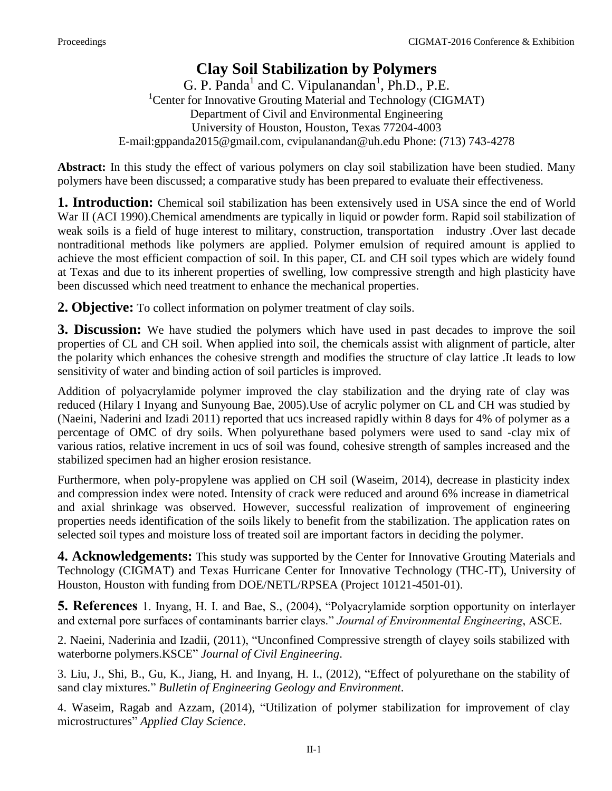## **Clay Soil Stabilization by Polymers**

 $G.$  P. Panda<sup>1</sup> and C. Vipulanandan<sup>1</sup>, Ph.D., P.E. <sup>1</sup> Center for Innovative Grouting Material and Technology (CIGMAT) Department of Civil and Environmental Engineering University of Houston, Houston, Texas 77204-4003 E-mail:gppanda2015@gmail.com, cvipulanandan@uh.edu Phone: (713) 743-4278

**Abstract:** In this study the effect of various polymers on clay soil stabilization have been studied. Many polymers have been discussed; a comparative study has been prepared to evaluate their effectiveness.

**1. Introduction:** Chemical soil stabilization has been extensively used in USA since the end of World War II (ACI 1990). Chemical amendments are typically in liquid or powder form. Rapid soil stabilization of weak soils is a field of huge interest to military, construction, transportation industry .Over last decade nontraditional methods like polymers are applied. Polymer emulsion of required amount is applied to achieve the most efficient compaction of soil. In this paper, CL and CH soil types which are widely found at Texas and due to its inherent properties of swelling, low compressive strength and high plasticity have been discussed which need treatment to enhance the mechanical properties.

**2. Objective:** To collect information on polymer treatment of clay soils.

**3. Discussion:** We have studied the polymers which have used in past decades to improve the soil properties of CL and CH soil. When applied into soil, the chemicals assist with alignment of particle, alter the polarity which enhances the cohesive strength and modifies the structure of clay lattice .It leads to low sensitivity of water and binding action of soil particles is improved.

Addition of polyacrylamide polymer improved the clay stabilization and the drying rate of clay was reduced (Hilary I Inyang and Sunyoung Bae, 2005).Use of acrylic polymer on CL and CH was studied by (Naeini, Naderini and Izadi 2011) reported that ucs increased rapidly within 8 days for 4% of polymer as a percentage of OMC of dry soils. When polyurethane based polymers were used to sand -clay mix of various ratios, relative increment in ucs of soil was found, cohesive strength of samples increased and the stabilized specimen had an higher erosion resistance.

Furthermore, when poly-propylene was applied on CH soil (Waseim, 2014), decrease in plasticity index and compression index were noted. Intensity of crack were reduced and around 6% increase in diametrical and axial shrinkage was observed. However, successful realization of improvement of engineering properties needs identification of the soils likely to benefit from the stabilization. The application rates on selected soil types and moisture loss of treated soil are important factors in deciding the polymer.

**4. Acknowledgements:** This study was supported by the Center for Innovative Grouting Materials and Technology (CIGMAT) and Texas Hurricane Center for Innovative Technology (THC-IT), University of Houston, Houston with funding from DOE/NETL/RPSEA (Project 10121-4501-01).

**5. References** 1. Inyang, H. I. and Bae, S., (2004), "Polyacrylamide sorption opportunity on interlayer and external pore surfaces of contaminants barrier clays." *Journal of Environmental Engineering*, ASCE.

2. Naeini, Naderinia and Izadii, (2011), "Unconfined Compressive strength of clayey soils stabilized with waterborne polymers.KSCE" *Journal of Civil Engineering*.

3. Liu, J., Shi, B., Gu, K., Jiang, H. and Inyang, H. I., (2012), "Effect of polyurethane on the stability of sand clay mixtures." *Bulletin of Engineering Geology and Environment*.

4. Waseim, Ragab and Azzam, (2014), "Utilization of polymer stabilization for improvement of clay microstructures" *Applied Clay Science*.